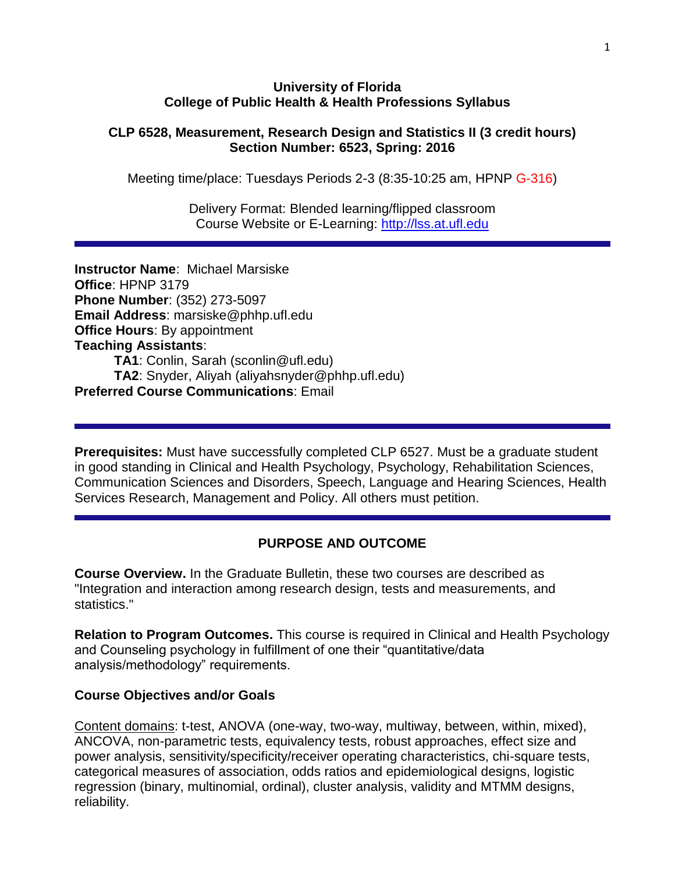#### **University of Florida College of Public Health & Health Professions Syllabus**

#### **CLP 6528, Measurement, Research Design and Statistics II (3 credit hours) Section Number: 6523, Spring: 2016**

Meeting time/place: Tuesdays Periods 2-3 (8:35-10:25 am, HPNP G-316)

Delivery Format: Blended learning/flipped classroom Course Website or E-Learning: [http://lss.at.ufl.edu](http://lss.at.ufl.edu/)

**Instructor Name**: Michael Marsiske **Office**: HPNP 3179 **Phone Number**: (352) 273-5097 **Email Address**: marsiske@phhp.ufl.edu **Office Hours**: By appointment **Teaching Assistants**: **TA1**: Conlin, Sarah (sconlin@ufl.edu) **TA2**: Snyder, Aliyah (aliyahsnyder@phhp.ufl.edu) **Preferred Course Communications**: Email

**Prerequisites:** Must have successfully completed CLP 6527. Must be a graduate student in good standing in Clinical and Health Psychology, Psychology, Rehabilitation Sciences, Communication Sciences and Disorders, Speech, Language and Hearing Sciences, Health Services Research, Management and Policy. All others must petition.

### **PURPOSE AND OUTCOME**

**Course Overview.** In the Graduate Bulletin, these two courses are described as "Integration and interaction among research design, tests and measurements, and statistics."

**Relation to Program Outcomes.** This course is required in Clinical and Health Psychology and Counseling psychology in fulfillment of one their "quantitative/data analysis/methodology" requirements.

#### **Course Objectives and/or Goals**

Content domains: t-test, ANOVA (one-way, two-way, multiway, between, within, mixed), ANCOVA, non-parametric tests, equivalency tests, robust approaches, effect size and power analysis, sensitivity/specificity/receiver operating characteristics, chi-square tests, categorical measures of association, odds ratios and epidemiological designs, logistic regression (binary, multinomial, ordinal), cluster analysis, validity and MTMM designs, reliability.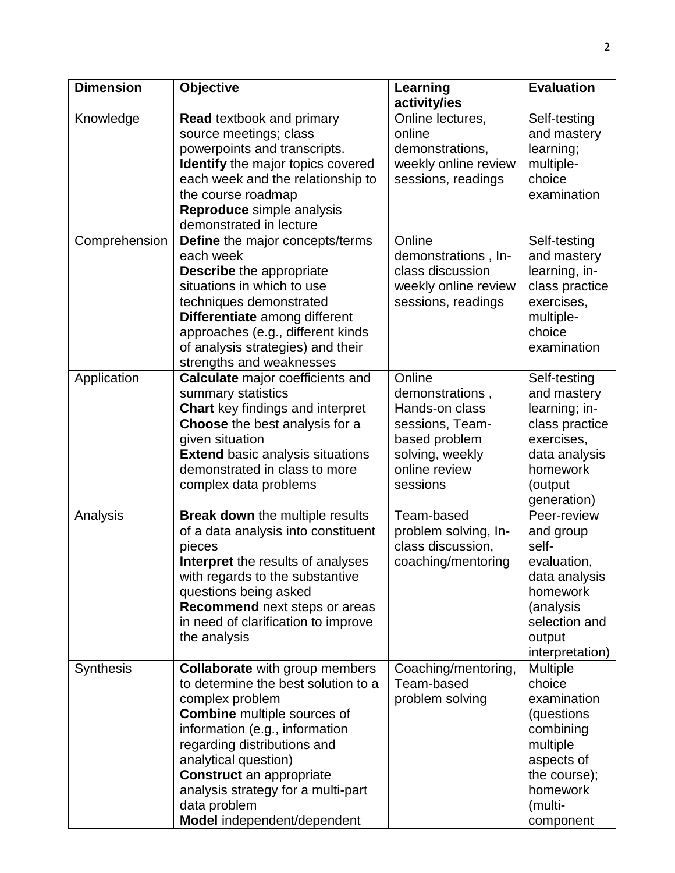| <b>Dimension</b> | <b>Objective</b>                                                                                                                                                                                                                                                                                                                                       | Learning                                                                                                                        | <b>Evaluation</b>                                                                                                                                 |
|------------------|--------------------------------------------------------------------------------------------------------------------------------------------------------------------------------------------------------------------------------------------------------------------------------------------------------------------------------------------------------|---------------------------------------------------------------------------------------------------------------------------------|---------------------------------------------------------------------------------------------------------------------------------------------------|
|                  |                                                                                                                                                                                                                                                                                                                                                        | activity/ies                                                                                                                    |                                                                                                                                                   |
| Knowledge        | <b>Read textbook and primary</b><br>source meetings; class<br>powerpoints and transcripts.<br><b>Identify</b> the major topics covered<br>each week and the relationship to<br>the course roadmap<br>Reproduce simple analysis<br>demonstrated in lecture                                                                                              | Online lectures,<br>online<br>demonstrations,<br>weekly online review<br>sessions, readings                                     | Self-testing<br>and mastery<br>learning;<br>multiple-<br>choice<br>examination                                                                    |
| Comprehension    | Define the major concepts/terms<br>each week<br>Describe the appropriate<br>situations in which to use<br>techniques demonstrated<br>Differentiate among different<br>approaches (e.g., different kinds<br>of analysis strategies) and their<br>strengths and weaknesses                                                                               | Online<br>demonstrations, In-<br>class discussion<br>weekly online review<br>sessions, readings                                 | Self-testing<br>and mastery<br>learning, in-<br>class practice<br>exercises,<br>multiple-<br>choice<br>examination                                |
| Application      | <b>Calculate</b> major coefficients and<br>summary statistics<br><b>Chart</b> key findings and interpret<br><b>Choose</b> the best analysis for a<br>given situation<br><b>Extend basic analysis situations</b><br>demonstrated in class to more<br>complex data problems                                                                              | Online<br>demonstrations,<br>Hands-on class<br>sessions, Team-<br>based problem<br>solving, weekly<br>online review<br>sessions | Self-testing<br>and mastery<br>learning; in-<br>class practice<br>exercises,<br>data analysis<br>homework<br>(output<br>generation)               |
| Analysis         | <b>Break down</b> the multiple results<br>of a data analysis into constituent<br>pieces<br><b>Interpret</b> the results of analyses<br>with regards to the substantive<br>questions being asked<br>Recommend next steps or areas<br>in need of clarification to improve<br>the analysis                                                                | Team-based<br>problem solving, In-<br>class discussion,<br>coaching/mentoring                                                   | Peer-review<br>and group<br>self-<br>evaluation,<br>data analysis<br>homework<br>(analysis<br>selection and<br>output<br>interpretation)          |
| Synthesis        | <b>Collaborate</b> with group members<br>to determine the best solution to a<br>complex problem<br><b>Combine</b> multiple sources of<br>information (e.g., information<br>regarding distributions and<br>analytical question)<br><b>Construct</b> an appropriate<br>analysis strategy for a multi-part<br>data problem<br>Model independent/dependent | Coaching/mentoring,<br>Team-based<br>problem solving                                                                            | <b>Multiple</b><br>choice<br>examination<br>(questions<br>combining<br>multiple<br>aspects of<br>the course);<br>homework<br>(multi-<br>component |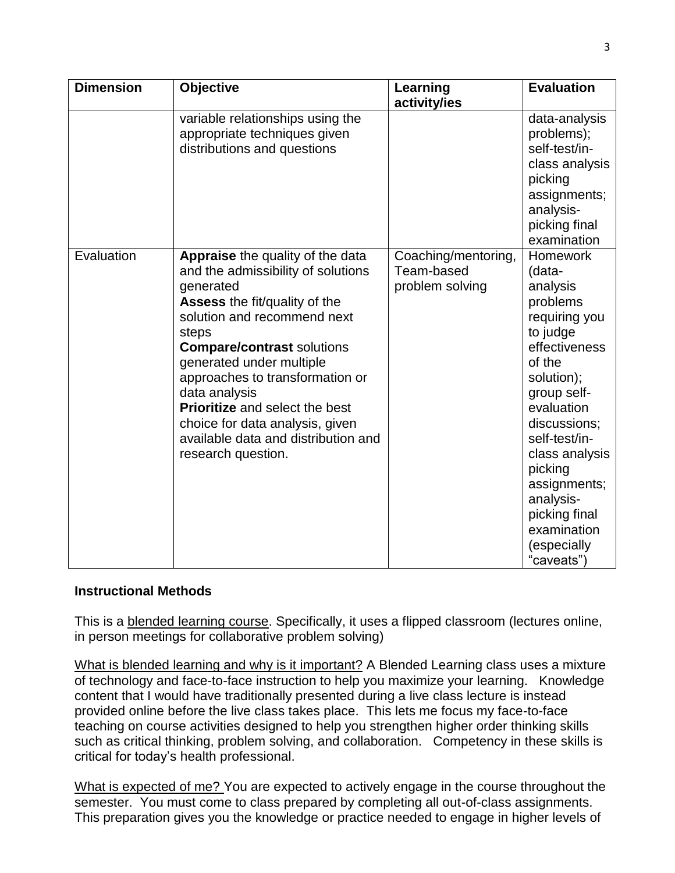| <b>Dimension</b> | <b>Objective</b>                                                                                                                                                                                                                                                                                                                                                                                                           | Learning<br>activity/ies                             | <b>Evaluation</b>                                                                                                                                                                                                                                                                                            |
|------------------|----------------------------------------------------------------------------------------------------------------------------------------------------------------------------------------------------------------------------------------------------------------------------------------------------------------------------------------------------------------------------------------------------------------------------|------------------------------------------------------|--------------------------------------------------------------------------------------------------------------------------------------------------------------------------------------------------------------------------------------------------------------------------------------------------------------|
|                  | variable relationships using the<br>appropriate techniques given<br>distributions and questions                                                                                                                                                                                                                                                                                                                            |                                                      | data-analysis<br>problems);<br>self-test/in-<br>class analysis<br>picking<br>assignments;<br>analysis-<br>picking final<br>examination                                                                                                                                                                       |
| Evaluation       | Appraise the quality of the data<br>and the admissibility of solutions<br>generated<br>Assess the fit/quality of the<br>solution and recommend next<br>steps<br><b>Compare/contrast solutions</b><br>generated under multiple<br>approaches to transformation or<br>data analysis<br><b>Prioritize</b> and select the best<br>choice for data analysis, given<br>available data and distribution and<br>research question. | Coaching/mentoring,<br>Team-based<br>problem solving | <b>Homework</b><br>(data-<br>analysis<br>problems<br>requiring you<br>to judge<br>effectiveness<br>of the<br>solution);<br>group self-<br>evaluation<br>discussions:<br>self-test/in-<br>class analysis<br>picking<br>assignments;<br>analysis-<br>picking final<br>examination<br>(especially<br>"caveats") |

### **Instructional Methods**

This is a blended learning course. Specifically, it uses a flipped classroom (lectures online, in person meetings for collaborative problem solving)

What is blended learning and why is it important? A Blended Learning class uses a mixture of technology and face-to-face instruction to help you maximize your learning. Knowledge content that I would have traditionally presented during a live class lecture is instead provided online before the live class takes place. This lets me focus my face-to-face teaching on course activities designed to help you strengthen higher order thinking skills such as critical thinking, problem solving, and collaboration. Competency in these skills is critical for today's health professional.

What is expected of me? You are expected to actively engage in the course throughout the semester. You must come to class prepared by completing all out-of-class assignments. This preparation gives you the knowledge or practice needed to engage in higher levels of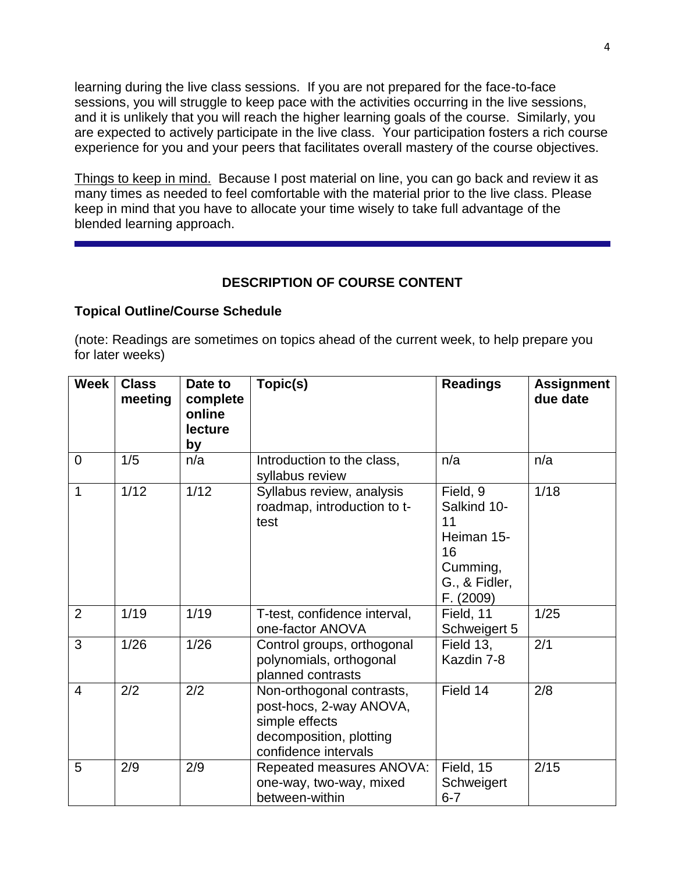learning during the live class sessions. If you are not prepared for the face-to-face sessions, you will struggle to keep pace with the activities occurring in the live sessions, and it is unlikely that you will reach the higher learning goals of the course. Similarly, you are expected to actively participate in the live class. Your participation fosters a rich course experience for you and your peers that facilitates overall mastery of the course objectives.

Things to keep in mind. Because I post material on line, you can go back and review it as many times as needed to feel comfortable with the material prior to the live class. Please keep in mind that you have to allocate your time wisely to take full advantage of the blended learning approach.

### **DESCRIPTION OF COURSE CONTENT**

#### **Topical Outline/Course Schedule**

(note: Readings are sometimes on topics ahead of the current week, to help prepare you for later weeks)

| <b>Week</b>    | <b>Class</b><br>meeting | Date to<br>complete<br>online<br><b>lecture</b><br>by | Topic(s)                                                                                                                  | <b>Readings</b>                                                                             | <b>Assignment</b><br>due date |
|----------------|-------------------------|-------------------------------------------------------|---------------------------------------------------------------------------------------------------------------------------|---------------------------------------------------------------------------------------------|-------------------------------|
| $\overline{0}$ | 1/5                     | n/a                                                   | Introduction to the class,<br>syllabus review                                                                             | n/a                                                                                         | n/a                           |
| 1              | 1/12                    | 1/12                                                  | Syllabus review, analysis<br>roadmap, introduction to t-<br>test                                                          | Field, 9<br>Salkind 10-<br>11<br>Heiman 15-<br>16<br>Cumming,<br>G., & Fidler,<br>F. (2009) | 1/18                          |
| 2              | 1/19                    | 1/19                                                  | T-test, confidence interval,<br>one-factor ANOVA                                                                          | Field, 11<br>Schweigert 5                                                                   | 1/25                          |
| 3              | 1/26                    | 1/26                                                  | Control groups, orthogonal<br>polynomials, orthogonal<br>planned contrasts                                                | Field 13,<br>Kazdin 7-8                                                                     | 2/1                           |
| $\overline{4}$ | 2/2                     | 2/2                                                   | Non-orthogonal contrasts,<br>post-hocs, 2-way ANOVA,<br>simple effects<br>decomposition, plotting<br>confidence intervals | Field 14                                                                                    | 2/8                           |
| 5              | 2/9                     | 2/9                                                   | Repeated measures ANOVA:<br>one-way, two-way, mixed<br>between-within                                                     | Field, 15<br>Schweigert<br>$6 - 7$                                                          | 2/15                          |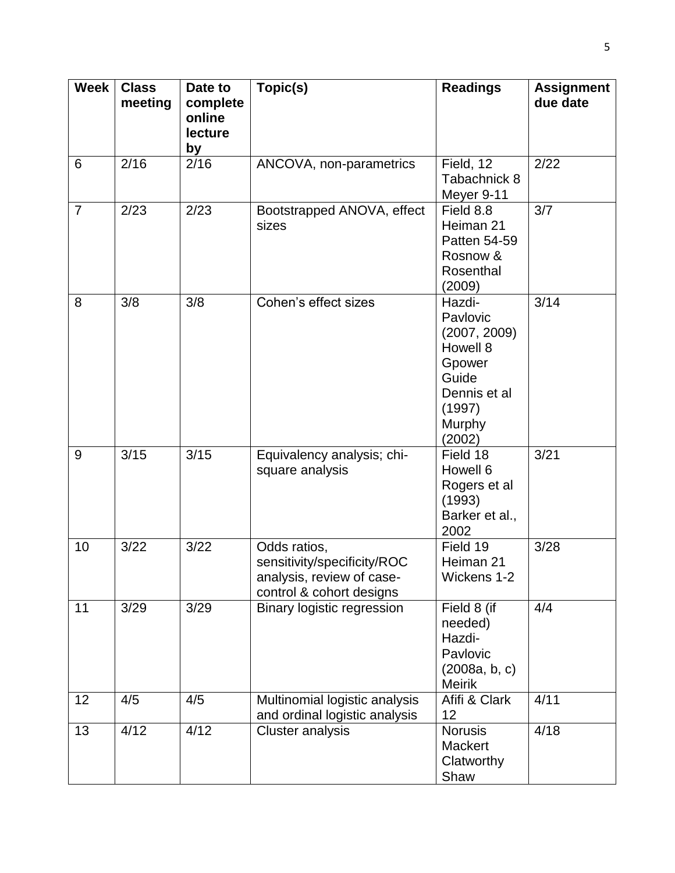| <b>Week</b>    | <b>Class</b><br>meeting | Date to<br>complete<br>online<br><b>lecture</b><br>by | Topic(s)                                                                                             | <b>Readings</b>                                                                                                 | <b>Assignment</b><br>due date |
|----------------|-------------------------|-------------------------------------------------------|------------------------------------------------------------------------------------------------------|-----------------------------------------------------------------------------------------------------------------|-------------------------------|
| 6              | 2/16                    | 2/16                                                  | ANCOVA, non-parametrics                                                                              | Field, 12<br>Tabachnick 8<br>Meyer 9-11                                                                         | 2/22                          |
| $\overline{7}$ | 2/23                    | 2/23                                                  | Bootstrapped ANOVA, effect<br>sizes                                                                  | Field 8.8<br>Heiman 21<br>Patten 54-59<br>Rosnow &<br>Rosenthal<br>(2009)                                       | 3/7                           |
| 8              | 3/8                     | 3/8                                                   | Cohen's effect sizes                                                                                 | Hazdi-<br>Pavlovic<br>(2007, 2009)<br>Howell 8<br>Gpower<br>Guide<br>Dennis et al<br>(1997)<br>Murphy<br>(2002) | 3/14                          |
| 9              | 3/15                    | 3/15                                                  | Equivalency analysis; chi-<br>square analysis                                                        | Field 18<br>Howell 6<br>Rogers et al<br>(1993)<br>Barker et al.,<br>2002                                        | 3/21                          |
| 10             | 3/22                    | 3/22                                                  | Odds ratios,<br>sensitivity/specificity/ROC<br>analysis, review of case-<br>control & cohort designs | Field 19<br>Heiman 21<br>Wickens 1-2                                                                            | 3/28                          |
| 11             | 3/29                    | 3/29                                                  | <b>Binary logistic regression</b>                                                                    | Field 8 (if<br>needed)<br>Hazdi-<br>Pavlovic<br>(2008a, b, c)<br><b>Meirik</b>                                  | 4/4                           |
| 12             | 4/5                     | 4/5                                                   | Multinomial logistic analysis<br>and ordinal logistic analysis                                       | Afifi & Clark<br>12                                                                                             | 4/11                          |
| 13             | 4/12                    | 4/12                                                  | <b>Cluster analysis</b>                                                                              | <b>Norusis</b><br><b>Mackert</b><br>Clatworthy<br>Shaw                                                          | 4/18                          |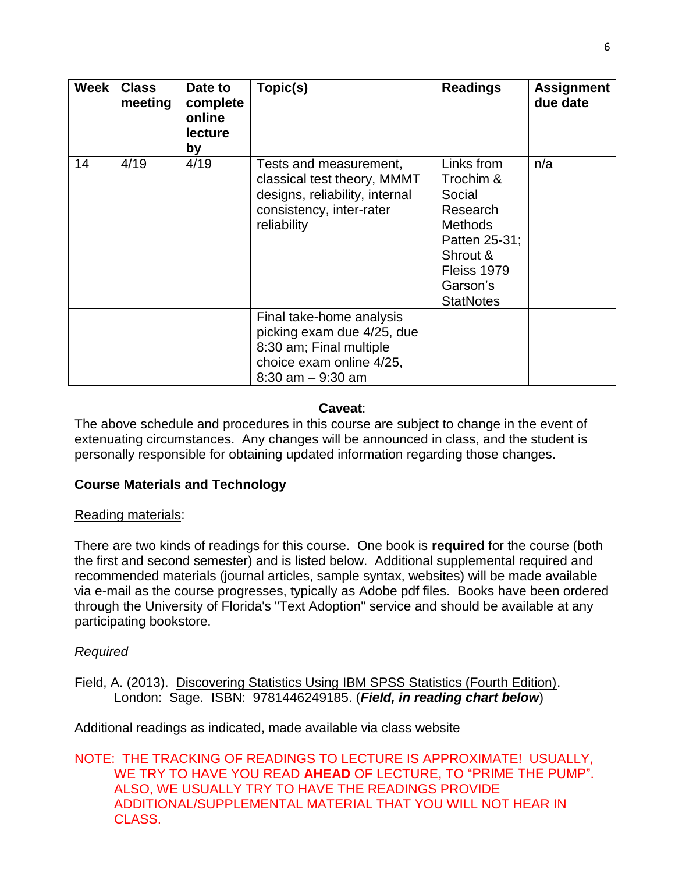| Week | <b>Class</b><br>meeting | Date to<br>complete<br>online<br><b>lecture</b><br>by | Topic(s)                                                                                                                              | <b>Readings</b>                                                                                                                             | <b>Assignment</b><br>due date |
|------|-------------------------|-------------------------------------------------------|---------------------------------------------------------------------------------------------------------------------------------------|---------------------------------------------------------------------------------------------------------------------------------------------|-------------------------------|
| 14   | 4/19                    | 4/19                                                  | Tests and measurement,<br>classical test theory, MMMT<br>designs, reliability, internal<br>consistency, inter-rater<br>reliability    | Links from<br>Trochim &<br>Social<br>Research<br><b>Methods</b><br>Patten 25-31;<br>Shrout &<br>Fleiss 1979<br>Garson's<br><b>StatNotes</b> | n/a                           |
|      |                         |                                                       | Final take-home analysis<br>picking exam due 4/25, due<br>8:30 am; Final multiple<br>choice exam online 4/25,<br>$8:30$ am $-9:30$ am |                                                                                                                                             |                               |

### **Caveat**:

The above schedule and procedures in this course are subject to change in the event of extenuating circumstances. Any changes will be announced in class, and the student is personally responsible for obtaining updated information regarding those changes.

## **Course Materials and Technology**

## Reading materials:

There are two kinds of readings for this course. One book is **required** for the course (both the first and second semester) and is listed below. Additional supplemental required and recommended materials (journal articles, sample syntax, websites) will be made available via e-mail as the course progresses, typically as Adobe pdf files. Books have been ordered through the University of Florida's "Text Adoption" service and should be available at any participating bookstore.

## *Required*

Field, A. (2013). Discovering Statistics Using IBM SPSS Statistics (Fourth Edition). London: Sage. ISBN: 9781446249185. (*Field, in reading chart below*)

Additional readings as indicated, made available via class website

#### NOTE: THE TRACKING OF READINGS TO LECTURE IS APPROXIMATE! USUALLY, WE TRY TO HAVE YOU READ **AHEAD** OF LECTURE, TO "PRIME THE PUMP". ALSO, WE USUALLY TRY TO HAVE THE READINGS PROVIDE ADDITIONAL/SUPPLEMENTAL MATERIAL THAT YOU WILL NOT HEAR IN CLASS.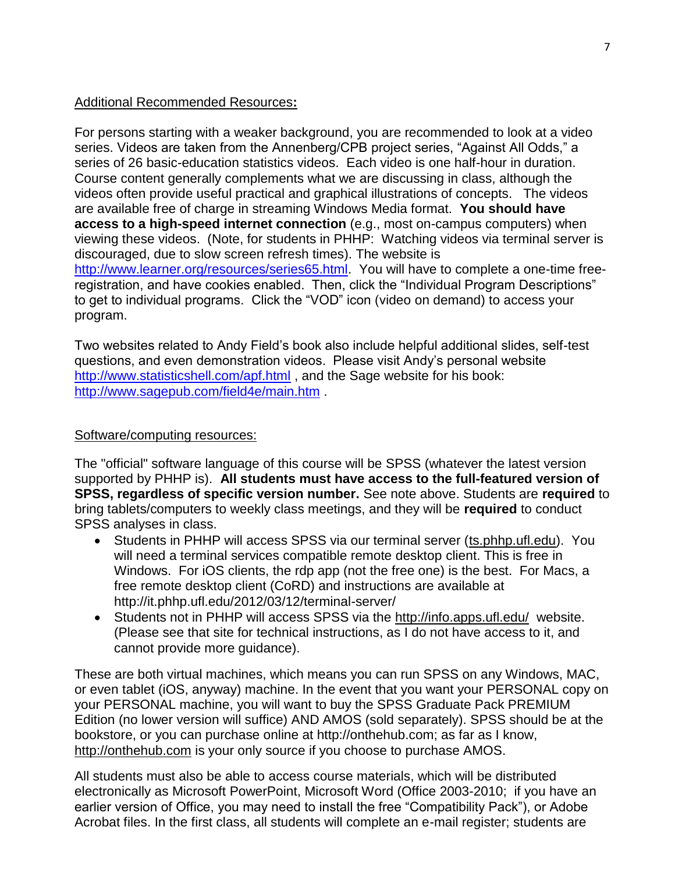### Additional Recommended Resources**:**

For persons starting with a weaker background, you are recommended to look at a video series. Videos are taken from the Annenberg/CPB project series, "Against All Odds," a series of 26 basic-education statistics videos. Each video is one half-hour in duration. Course content generally complements what we are discussing in class, although the videos often provide useful practical and graphical illustrations of concepts. The videos are available free of charge in streaming Windows Media format. **You should have access to a high-speed internet connection** (e.g., most on-campus computers) when viewing these videos. (Note, for students in PHHP: Watching videos via terminal server is discouraged, due to slow screen refresh times). The website is [http://www.learner.org/resources/series65.html.](http://www.learner.org/resources/series65.html) You will have to complete a one-time freeregistration, and have cookies enabled. Then, click the "Individual Program Descriptions" to get to individual programs. Click the "VOD" icon (video on demand) to access your program.

Two websites related to Andy Field's book also include helpful additional slides, self-test questions, and even demonstration videos. Please visit Andy's personal website <http://www.statisticshell.com/apf.html> , and the Sage website for his book: <http://www.sagepub.com/field4e/main.htm> .

### Software/computing resources:

The "official" software language of this course will be SPSS (whatever the latest version supported by PHHP is). **All students must have access to the full-featured version of SPSS, regardless of specific version number.** See note above. Students are **required** to bring tablets/computers to weekly class meetings, and they will be **required** to conduct SPSS analyses in class.

- Students in PHHP will access SPSS via our terminal server (ts.phhp.ufl.edu). You will need a terminal services compatible remote desktop client. This is free in Windows. For iOS clients, the rdp app (not the free one) is the best. For Macs, a free remote desktop client (CoRD) and instructions are available at http://it.phhp.ufl.edu/2012/03/12/terminal-server/
- Students not in PHHP will access SPSS via the http://info.apps.ufl.edu/ website. (Please see that site for technical instructions, as I do not have access to it, and cannot provide more guidance).

These are both virtual machines, which means you can run SPSS on any Windows, MAC, or even tablet (iOS, anyway) machine. In the event that you want your PERSONAL copy on your PERSONAL machine, you will want to buy the SPSS Graduate Pack PREMIUM Edition (no lower version will suffice) AND AMOS (sold separately). SPSS should be at the bookstore, or you can purchase online at http://onthehub.com; as far as I know, http://onthehub.com is your only source if you choose to purchase AMOS.

All students must also be able to access course materials, which will be distributed electronically as Microsoft PowerPoint, Microsoft Word (Office 2003-2010; if you have an earlier version of Office, you may need to install the free "Compatibility Pack"), or Adobe Acrobat files. In the first class, all students will complete an e-mail register; students are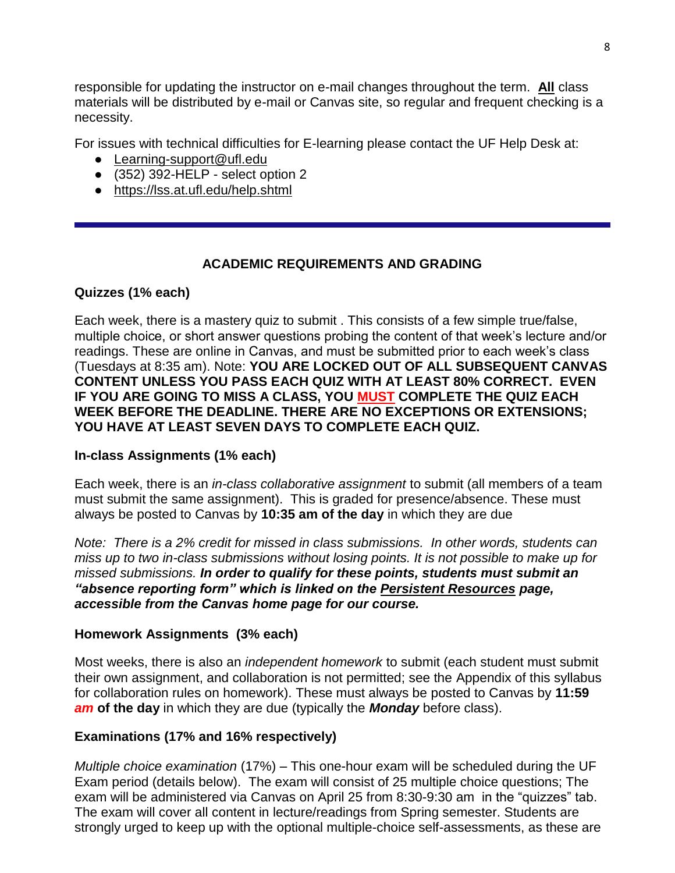responsible for updating the instructor on e-mail changes throughout the term. **All** class materials will be distributed by e-mail or Canvas site, so regular and frequent checking is a necessity.

For issues with technical difficulties for E-learning please contact the UF Help Desk at:

- [Learning-support@ufl.edu](file:///C:/Users/hackg/Desktop/Learning-support@ufl.edu)
- $\bullet$  (352) 392-HELP select option 2
- <https://lss.at.ufl.edu/help.shtml>

# **ACADEMIC REQUIREMENTS AND GRADING**

# **Quizzes (1% each)**

Each week, there is a mastery quiz to submit . This consists of a few simple true/false, multiple choice, or short answer questions probing the content of that week's lecture and/or readings. These are online in Canvas, and must be submitted prior to each week's class (Tuesdays at 8:35 am). Note: **YOU ARE LOCKED OUT OF ALL SUBSEQUENT CANVAS CONTENT UNLESS YOU PASS EACH QUIZ WITH AT LEAST 80% CORRECT. EVEN IF YOU ARE GOING TO MISS A CLASS, YOU MUST COMPLETE THE QUIZ EACH WEEK BEFORE THE DEADLINE. THERE ARE NO EXCEPTIONS OR EXTENSIONS; YOU HAVE AT LEAST SEVEN DAYS TO COMPLETE EACH QUIZ.**

## **In-class Assignments (1% each)**

Each week, there is an *in-class collaborative assignment* to submit (all members of a team must submit the same assignment). This is graded for presence/absence. These must always be posted to Canvas by **10:35 am of the day** in which they are due

*Note: There is a 2% credit for missed in class submissions. In other words, students can miss up to two in-class submissions without losing points. It is not possible to make up for missed submissions. In order to qualify for these points, students must submit an "absence reporting form" which is linked on the Persistent Resources page, accessible from the Canvas home page for our course.* 

## **Homework Assignments (3% each)**

Most weeks, there is also an *independent homework* to submit (each student must submit their own assignment, and collaboration is not permitted; see the Appendix of this syllabus for collaboration rules on homework). These must always be posted to Canvas by **11:59**  *am* **of the day** in which they are due (typically the *Monday* before class).

# **Examinations (17% and 16% respectively)**

*Multiple choice examination* (17%) – This one-hour exam will be scheduled during the UF Exam period (details below). The exam will consist of 25 multiple choice questions; The exam will be administered via Canvas on April 25 from 8:30-9:30 am in the "quizzes" tab. The exam will cover all content in lecture/readings from Spring semester. Students are strongly urged to keep up with the optional multiple-choice self-assessments, as these are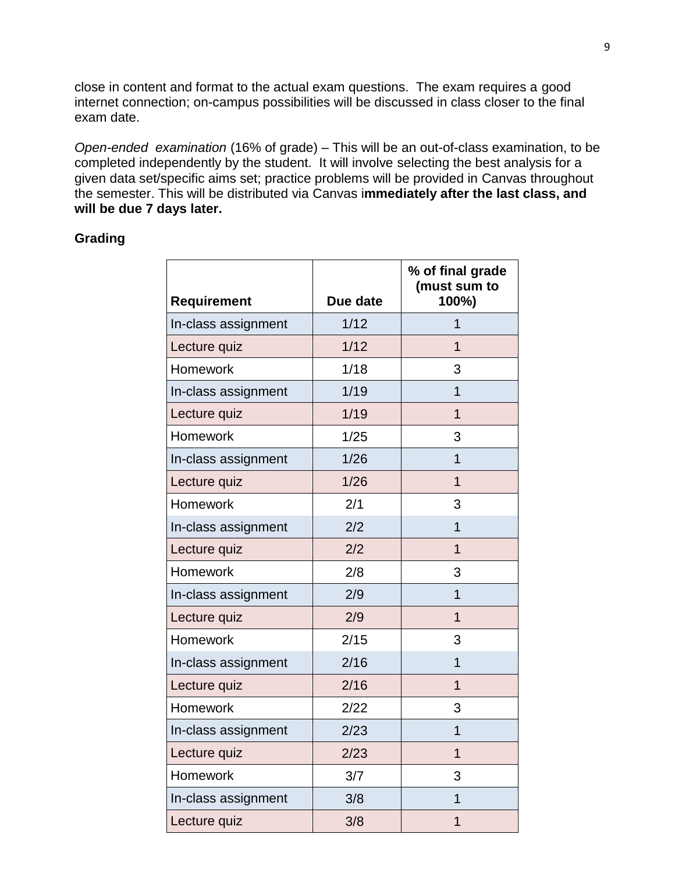close in content and format to the actual exam questions. The exam requires a good internet connection; on-campus possibilities will be discussed in class closer to the final exam date.

*Open-ended examination* (16% of grade) – This will be an out-of-class examination, to be completed independently by the student. It will involve selecting the best analysis for a given data set/specific aims set; practice problems will be provided in Canvas throughout the semester. This will be distributed via Canvas i**mmediately after the last class, and will be due 7 days later.**

### **Grading**

| Requirement         | Due date | % of final grade<br>(must sum to<br>100%) |
|---------------------|----------|-------------------------------------------|
| In-class assignment | 1/12     | 1                                         |
| Lecture quiz        | 1/12     | 1                                         |
| Homework            | 1/18     | 3                                         |
| In-class assignment | 1/19     | 1                                         |
| Lecture quiz        | 1/19     | $\overline{1}$                            |
| Homework            | 1/25     | 3                                         |
| In-class assignment | 1/26     | $\overline{1}$                            |
| Lecture quiz        | 1/26     | $\overline{1}$                            |
| Homework            | 2/1      | 3                                         |
| In-class assignment | 2/2      | $\overline{1}$                            |
| Lecture quiz        | 2/2      | $\overline{1}$                            |
| Homework            | 2/8      | 3                                         |
| In-class assignment | 2/9      | $\overline{1}$                            |
| Lecture quiz        | 2/9      | $\overline{1}$                            |
| Homework            | 2/15     | 3                                         |
| In-class assignment | 2/16     | $\overline{1}$                            |
| Lecture quiz        | 2/16     | 1                                         |
| Homework            | 2/22     | 3                                         |
| In-class assignment | 2/23     | 1                                         |
| Lecture quiz        | 2/23     | $\overline{1}$                            |
| Homework            | 3/7      | 3                                         |
| In-class assignment | 3/8      | 1                                         |
| Lecture quiz        | 3/8      | 1                                         |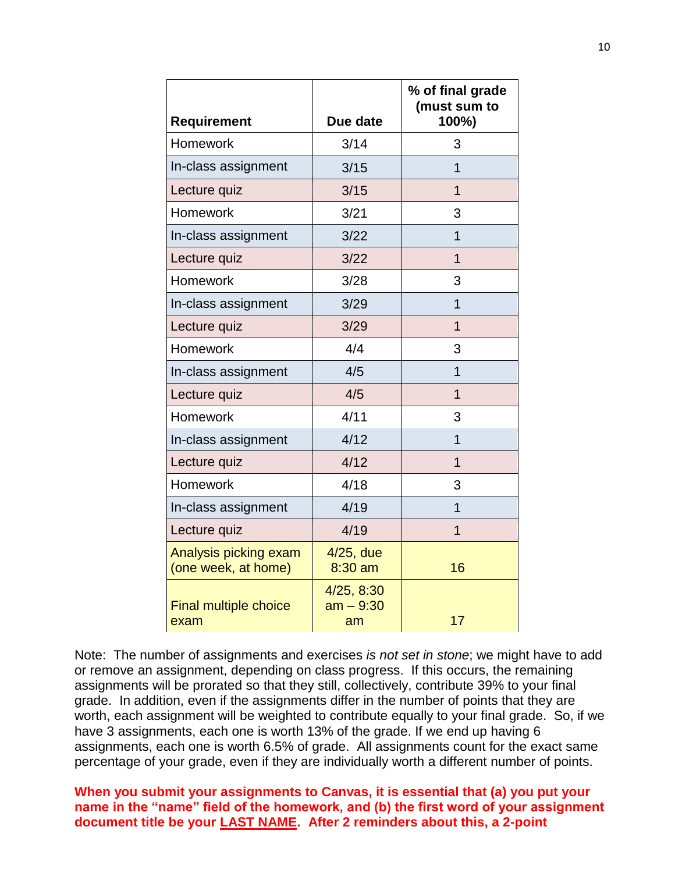| <b>Requirement</b>                           | Due date                        | % of final grade<br>(must sum to<br>100%) |
|----------------------------------------------|---------------------------------|-------------------------------------------|
| Homework                                     | 3/14                            | 3                                         |
| In-class assignment                          | 3/15                            | 1                                         |
| Lecture quiz                                 | 3/15                            | $\overline{1}$                            |
| Homework                                     | 3/21                            | 3                                         |
| In-class assignment                          | 3/22                            | 1                                         |
| Lecture quiz                                 | 3/22                            | $\overline{1}$                            |
| <b>Homework</b>                              | 3/28                            | 3                                         |
| In-class assignment                          | 3/29                            | 1                                         |
| Lecture quiz                                 | 3/29                            | 1                                         |
| Homework                                     | 4/4                             | 3                                         |
| In-class assignment                          | 4/5                             | $\overline{1}$                            |
| Lecture quiz                                 | 4/5                             | 1                                         |
| Homework                                     | 4/11                            | 3                                         |
| In-class assignment                          | 4/12                            | 1                                         |
| Lecture quiz                                 | 4/12                            | $\overline{1}$                            |
| Homework                                     | 4/18                            | 3                                         |
| In-class assignment                          | 4/19                            | 1                                         |
| Lecture quiz                                 | 4/19                            | $\overline{1}$                            |
| Analysis picking exam<br>(one week, at home) | 4/25, due<br>$8:30$ am          | 16                                        |
| <b>Final multiple choice</b><br>exam         | 4/25, 8:30<br>$am - 9:30$<br>am | 17                                        |

Note: The number of assignments and exercises *is not set in stone*; we might have to add or remove an assignment, depending on class progress. If this occurs, the remaining assignments will be prorated so that they still, collectively, contribute 39% to your final grade. In addition, even if the assignments differ in the number of points that they are worth, each assignment will be weighted to contribute equally to your final grade. So, if we have 3 assignments, each one is worth 13% of the grade. If we end up having 6 assignments, each one is worth 6.5% of grade. All assignments count for the exact same percentage of your grade, even if they are individually worth a different number of points.

**When you submit your assignments to Canvas, it is essential that (a) you put your name in the "name" field of the homework, and (b) the first word of your assignment document title be your LAST NAME. After 2 reminders about this, a 2-point**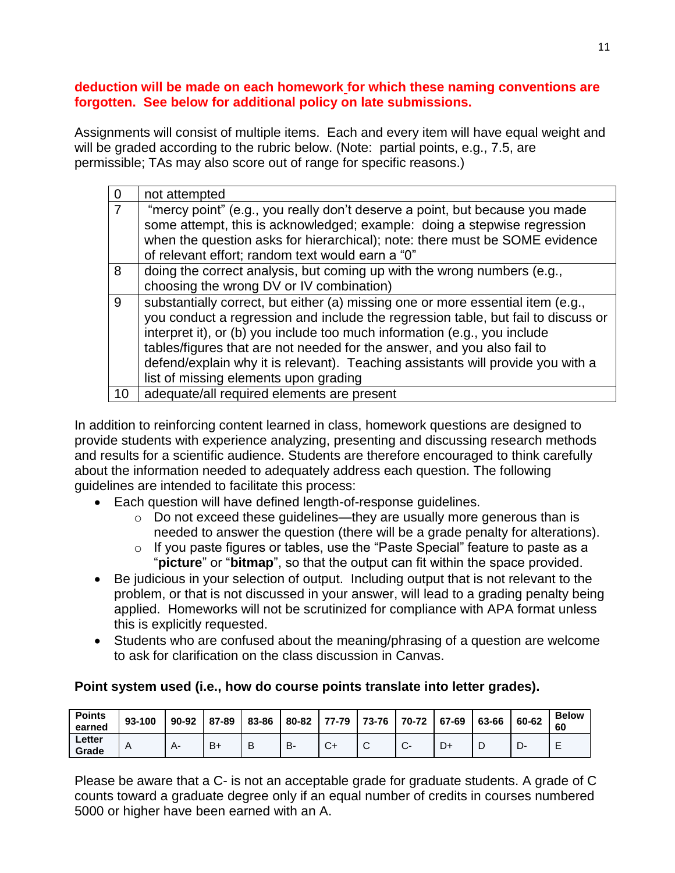### **deduction will be made on each homework for which these naming conventions are forgotten. See below for additional policy on late submissions.**

Assignments will consist of multiple items. Each and every item will have equal weight and will be graded according to the rubric below. (Note: partial points, e.g., 7.5, are permissible; TAs may also score out of range for specific reasons.)

|    | not attempted                                                                                                                                                                                                                                                                                                                                                                                                                                            |
|----|----------------------------------------------------------------------------------------------------------------------------------------------------------------------------------------------------------------------------------------------------------------------------------------------------------------------------------------------------------------------------------------------------------------------------------------------------------|
|    | "mercy point" (e.g., you really don't deserve a point, but because you made<br>some attempt, this is acknowledged; example: doing a stepwise regression<br>when the question asks for hierarchical); note: there must be SOME evidence                                                                                                                                                                                                                   |
|    | of relevant effort; random text would earn a "0"                                                                                                                                                                                                                                                                                                                                                                                                         |
| 8  | doing the correct analysis, but coming up with the wrong numbers (e.g.,<br>choosing the wrong DV or IV combination)                                                                                                                                                                                                                                                                                                                                      |
| 9  | substantially correct, but either (a) missing one or more essential item (e.g.,<br>you conduct a regression and include the regression table, but fail to discuss or<br>interpret it), or (b) you include too much information (e.g., you include<br>tables/figures that are not needed for the answer, and you also fail to<br>defend/explain why it is relevant). Teaching assistants will provide you with a<br>list of missing elements upon grading |
| 10 | adequate/all required elements are present                                                                                                                                                                                                                                                                                                                                                                                                               |

In addition to reinforcing content learned in class, homework questions are designed to provide students with experience analyzing, presenting and discussing research methods and results for a scientific audience. Students are therefore encouraged to think carefully about the information needed to adequately address each question. The following guidelines are intended to facilitate this process:

- Each question will have defined length-of-response guidelines.
	- o Do not exceed these guidelines—they are usually more generous than is needed to answer the question (there will be a grade penalty for alterations).
	- o If you paste figures or tables, use the "Paste Special" feature to paste as a "**picture**" or "**bitmap**", so that the output can fit within the space provided.
- Be judicious in your selection of output. Including output that is not relevant to the problem, or that is not discussed in your answer, will lead to a grading penalty being applied. Homeworks will not be scrutinized for compliance with APA format unless this is explicitly requested.
- Students who are confused about the meaning/phrasing of a question are welcome to ask for clarification on the class discussion in Canvas.

## **Point system used (i.e., how do course points translate into letter grades).**

| <b>Points</b><br>earned | 93-100 | 90-92 | 87-89 | 83-86 | 80-82 | 77-79        | 73-76  | 70-72                  | 67-69 | 63-66 | 60-62 | <b>Below</b><br>60 |
|-------------------------|--------|-------|-------|-------|-------|--------------|--------|------------------------|-------|-------|-------|--------------------|
| Letter<br>Grade         | A      |       | $B+$  | B     | в-    | $\mathbf{v}$ | ⌒<br>◡ | $\sim$<br>$\mathbf{C}$ | D+    |       |       |                    |

Please be aware that a C- is not an acceptable grade for graduate students. A grade of C counts toward a graduate degree only if an equal number of credits in courses numbered 5000 or higher have been earned with an A.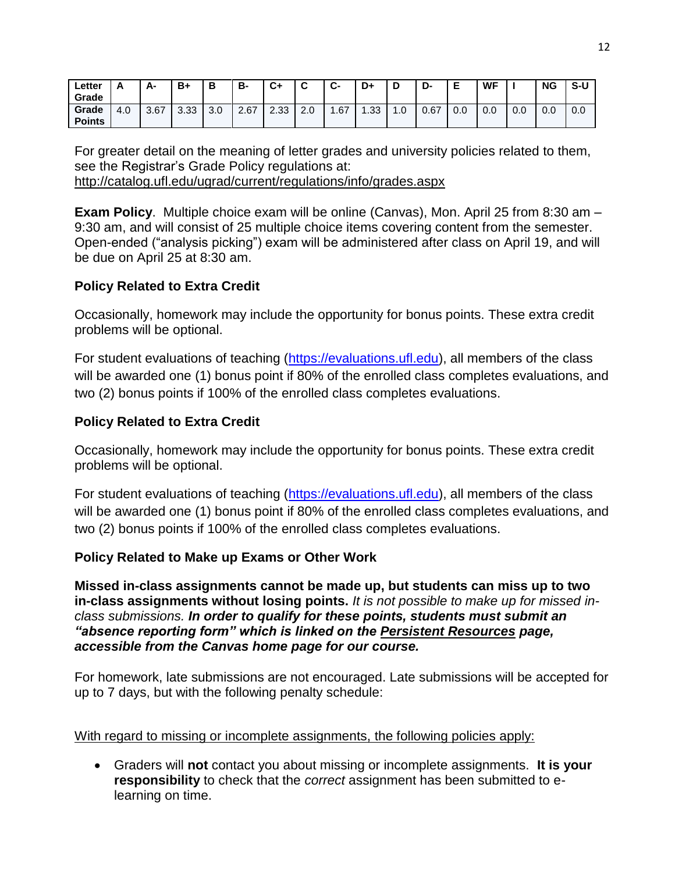| ∟etter<br>Grade        |     | А-   | B+          | В   | В-   | C+   | -<br>ື | $\ddot{\phantom{1}}$<br>- ب | D+               | D         | D-   |     | WF  |     | <b>NG</b> | S-U |
|------------------------|-----|------|-------------|-----|------|------|--------|-----------------------------|------------------|-----------|------|-----|-----|-----|-----------|-----|
| Grade<br><b>Points</b> | 4.0 | 3.67 | 222<br>ა.აა | 3.0 | 2.67 | 2.33 | 2.0    | .67                         | $\overline{.}33$ | $\cdot$ 0 | 0.67 | 0.0 | 0.0 | 0.0 | 0.0       | 0.0 |

For greater detail on the meaning of letter grades and university policies related to them, see the Registrar's Grade Policy regulations at: <http://catalog.ufl.edu/ugrad/current/regulations/info/grades.aspx>

**Exam Policy**. Multiple choice exam will be online (Canvas), Mon. April 25 from 8:30 am – 9:30 am, and will consist of 25 multiple choice items covering content from the semester. Open-ended ("analysis picking") exam will be administered after class on April 19, and will be due on April 25 at 8:30 am.

## **Policy Related to Extra Credit**

Occasionally, homework may include the opportunity for bonus points. These extra credit problems will be optional.

For student evaluations of teaching [\(https://evaluations.ufl.edu\)](https://evaluations.ufl.edu/), all members of the class will be awarded one (1) bonus point if 80% of the enrolled class completes evaluations, and two (2) bonus points if 100% of the enrolled class completes evaluations.

# **Policy Related to Extra Credit**

Occasionally, homework may include the opportunity for bonus points. These extra credit problems will be optional.

For student evaluations of teaching [\(https://evaluations.ufl.edu\)](https://evaluations.ufl.edu/), all members of the class will be awarded one (1) bonus point if 80% of the enrolled class completes evaluations, and two (2) bonus points if 100% of the enrolled class completes evaluations.

## **Policy Related to Make up Exams or Other Work**

**Missed in-class assignments cannot be made up, but students can miss up to two in-class assignments without losing points.** *It is not possible to make up for missed inclass submissions. In order to qualify for these points, students must submit an "absence reporting form" which is linked on the Persistent Resources page, accessible from the Canvas home page for our course.* 

For homework, late submissions are not encouraged. Late submissions will be accepted for up to 7 days, but with the following penalty schedule:

### With regard to missing or incomplete assignments, the following policies apply:

 Graders will **not** contact you about missing or incomplete assignments. **It is your responsibility** to check that the *correct* assignment has been submitted to elearning on time.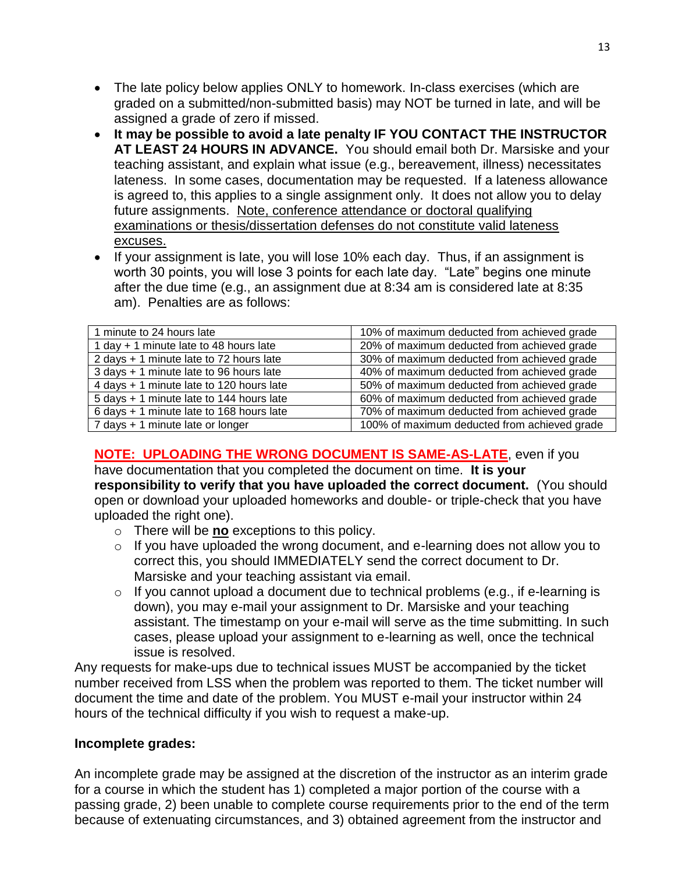- The late policy below applies ONLY to homework. In-class exercises (which are graded on a submitted/non-submitted basis) may NOT be turned in late, and will be assigned a grade of zero if missed.
- **It may be possible to avoid a late penalty IF YOU CONTACT THE INSTRUCTOR AT LEAST 24 HOURS IN ADVANCE.** You should email both Dr. Marsiske and your teaching assistant, and explain what issue (e.g., bereavement, illness) necessitates lateness. In some cases, documentation may be requested. If a lateness allowance is agreed to, this applies to a single assignment only. It does not allow you to delay future assignments. Note, conference attendance or doctoral qualifying examinations or thesis/dissertation defenses do not constitute valid lateness excuses.
- If your assignment is late, you will lose 10% each day. Thus, if an assignment is worth 30 points, you will lose 3 points for each late day. "Late" begins one minute after the due time (e.g., an assignment due at 8:34 am is considered late at 8:35 am). Penalties are as follows:

| 1 minute to 24 hours late                | 10% of maximum deducted from achieved grade  |
|------------------------------------------|----------------------------------------------|
| 1 day + 1 minute late to 48 hours late   | 20% of maximum deducted from achieved grade  |
| 2 days + 1 minute late to 72 hours late  | 30% of maximum deducted from achieved grade  |
| 3 days + 1 minute late to 96 hours late  | 40% of maximum deducted from achieved grade  |
| 4 days + 1 minute late to 120 hours late | 50% of maximum deducted from achieved grade  |
| 5 days + 1 minute late to 144 hours late | 60% of maximum deducted from achieved grade  |
| 6 days + 1 minute late to 168 hours late | 70% of maximum deducted from achieved grade  |
| 7 days + 1 minute late or longer         | 100% of maximum deducted from achieved grade |
|                                          |                                              |

## **NOTE: UPLOADING THE WRONG DOCUMENT IS SAME-AS-LATE**, even if you

have documentation that you completed the document on time. **It is your responsibility to verify that you have uploaded the correct document.** (You should open or download your uploaded homeworks and double- or triple-check that you have uploaded the right one).

- o There will be **no** exceptions to this policy.
- o If you have uploaded the wrong document, and e-learning does not allow you to correct this, you should IMMEDIATELY send the correct document to Dr. Marsiske and your teaching assistant via email.
- $\circ$  If you cannot upload a document due to technical problems (e.g., if e-learning is down), you may e-mail your assignment to Dr. Marsiske and your teaching assistant. The timestamp on your e-mail will serve as the time submitting. In such cases, please upload your assignment to e-learning as well, once the technical issue is resolved.

Any requests for make-ups due to technical issues MUST be accompanied by the ticket number received from LSS when the problem was reported to them. The ticket number will document the time and date of the problem. You MUST e-mail your instructor within 24 hours of the technical difficulty if you wish to request a make-up.

## **Incomplete grades:**

An incomplete grade may be assigned at the discretion of the instructor as an interim grade for a course in which the student has 1) completed a major portion of the course with a passing grade, 2) been unable to complete course requirements prior to the end of the term because of extenuating circumstances, and 3) obtained agreement from the instructor and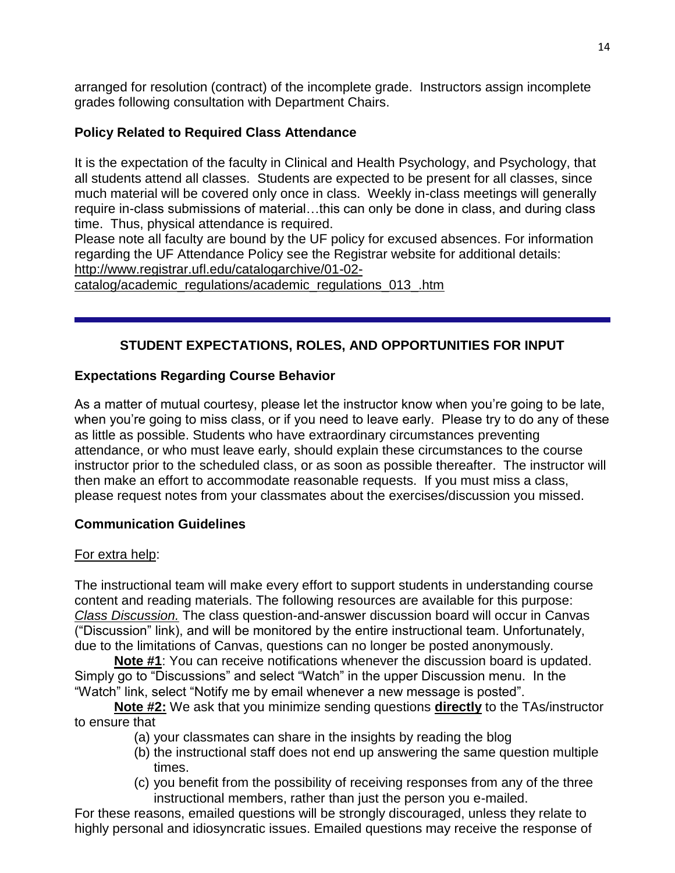arranged for resolution (contract) of the incomplete grade. Instructors assign incomplete grades following consultation with Department Chairs.

# **Policy Related to Required Class Attendance**

It is the expectation of the faculty in Clinical and Health Psychology, and Psychology, that all students attend all classes. Students are expected to be present for all classes, since much material will be covered only once in class. Weekly in-class meetings will generally require in-class submissions of material…this can only be done in class, and during class time. Thus, physical attendance is required.

Please note all faculty are bound by the UF policy for excused absences. For information regarding the UF Attendance Policy see the Registrar website for additional details: [http://www.registrar.ufl.edu/catalogarchive/01-02-](http://www.registrar.ufl.edu/catalogarchive/01-02-catalog/academic_regulations/academic_regulations_013_.htm)

[catalog/academic\\_regulations/academic\\_regulations\\_013\\_.htm](http://www.registrar.ufl.edu/catalogarchive/01-02-catalog/academic_regulations/academic_regulations_013_.htm)

# **STUDENT EXPECTATIONS, ROLES, AND OPPORTUNITIES FOR INPUT**

# **Expectations Regarding Course Behavior**

As a matter of mutual courtesy, please let the instructor know when you're going to be late, when you're going to miss class, or if you need to leave early. Please try to do any of these as little as possible. Students who have extraordinary circumstances preventing attendance, or who must leave early, should explain these circumstances to the course instructor prior to the scheduled class, or as soon as possible thereafter. The instructor will then make an effort to accommodate reasonable requests. If you must miss a class, please request notes from your classmates about the exercises/discussion you missed.

## **Communication Guidelines**

## For extra help:

The instructional team will make every effort to support students in understanding course content and reading materials. The following resources are available for this purpose: *Class Discussion.* The class question-and-answer discussion board will occur in Canvas ("Discussion" link), and will be monitored by the entire instructional team. Unfortunately, due to the limitations of Canvas, questions can no longer be posted anonymously.

**Note #1**: You can receive notifications whenever the discussion board is updated. Simply go to "Discussions" and select "Watch" in the upper Discussion menu. In the "Watch" link, select "Notify me by email whenever a new message is posted".

**Note #2:** We ask that you minimize sending questions **directly** to the TAs/instructor to ensure that

- (a) your classmates can share in the insights by reading the blog
- (b) the instructional staff does not end up answering the same question multiple times.
- (c) you benefit from the possibility of receiving responses from any of the three instructional members, rather than just the person you e-mailed.

For these reasons, emailed questions will be strongly discouraged, unless they relate to highly personal and idiosyncratic issues. Emailed questions may receive the response of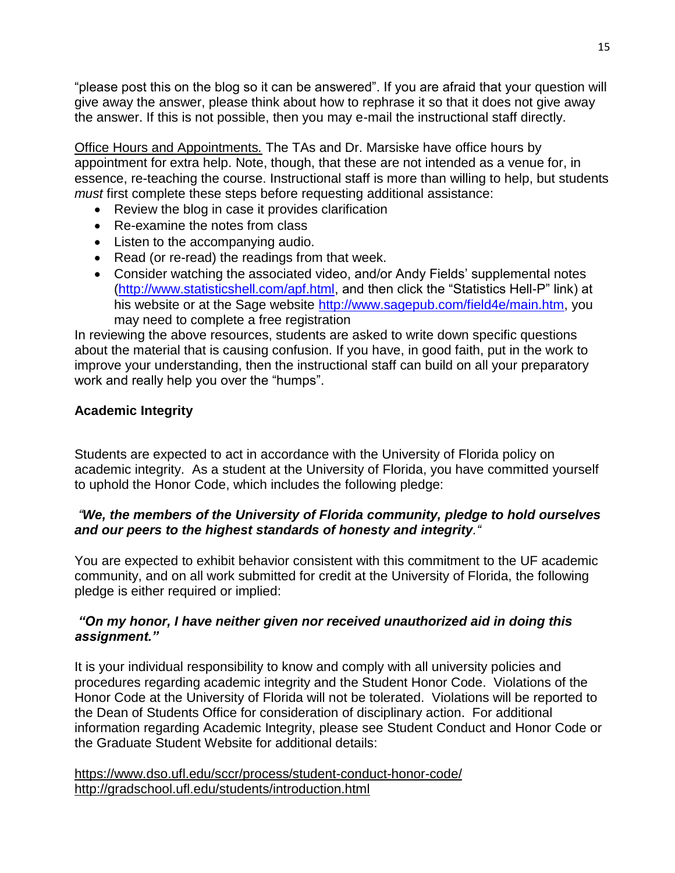"please post this on the blog so it can be answered". If you are afraid that your question will give away the answer, please think about how to rephrase it so that it does not give away the answer. If this is not possible, then you may e-mail the instructional staff directly.

Office Hours and Appointments*.* The TAs and Dr. Marsiske have office hours by appointment for extra help. Note, though, that these are not intended as a venue for, in essence, re-teaching the course. Instructional staff is more than willing to help, but students *must* first complete these steps before requesting additional assistance:

- Review the blog in case it provides clarification
- Re-examine the notes from class
- Listen to the accompanying audio.
- Read (or re-read) the readings from that week.
- Consider watching the associated video, and/or Andy Fields' supplemental notes [\(http://www.statisticshell.com/apf.html,](http://www.statisticshell.com/apf.html) and then click the "Statistics Hell-P" link) at his website or at the Sage website [http://www.sagepub.com/field4e/main.htm,](http://www.sagepub.com/field4e/main.htm) you may need to complete a free registration

In reviewing the above resources, students are asked to write down specific questions about the material that is causing confusion. If you have, in good faith, put in the work to improve your understanding, then the instructional staff can build on all your preparatory work and really help you over the "humps".

### **Academic Integrity**

Students are expected to act in accordance with the University of Florida policy on academic integrity. As a student at the University of Florida, you have committed yourself to uphold the Honor Code, which includes the following pledge:

## *"We, the members of the University of Florida community, pledge to hold ourselves and our peers to the highest standards of honesty and integrity."*

You are expected to exhibit behavior consistent with this commitment to the UF academic community, and on all work submitted for credit at the University of Florida, the following pledge is either required or implied:

### *"On my honor, I have neither given nor received unauthorized aid in doing this assignment."*

It is your individual responsibility to know and comply with all university policies and procedures regarding academic integrity and the Student Honor Code. Violations of the Honor Code at the University of Florida will not be tolerated. Violations will be reported to the Dean of Students Office for consideration of disciplinary action. For additional information regarding Academic Integrity, please see Student Conduct and Honor Code or the Graduate Student Website for additional details:

<https://www.dso.ufl.edu/sccr/process/student-conduct-honor-code/> <http://gradschool.ufl.edu/students/introduction.html>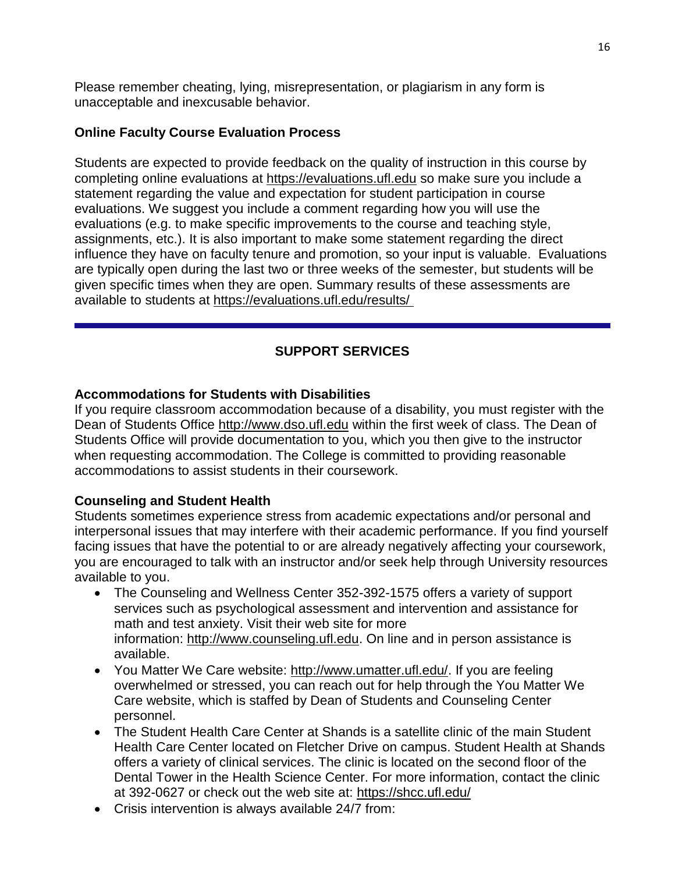Please remember cheating, lying, misrepresentation, or plagiarism in any form is unacceptable and inexcusable behavior.

### **Online Faculty Course Evaluation Process**

Students are expected to provide feedback on the quality of instruction in this course by completing online evaluations at [https://evaluations.ufl.edu](https://evaluations.ufl.edu/) so make sure you include a statement regarding the value and expectation for student participation in course evaluations. We suggest you include a comment regarding how you will use the evaluations (e.g. to make specific improvements to the course and teaching style, assignments, etc.). It is also important to make some statement regarding the direct influence they have on faculty tenure and promotion, so your input is valuable. Evaluations are typically open during the last two or three weeks of the semester, but students will be given specific times when they are open. Summary results of these assessments are available to students at [https://evaluations.ufl.edu/results/](https://evaluations.ufl.edu/results/ )

# **SUPPORT SERVICES**

### **Accommodations for Students with Disabilities**

If you require classroom accommodation because of a disability, you must register with the Dean of Students Office [http://www.dso.ufl.edu](http://www.dso.ufl.edu/) within the first week of class. The Dean of Students Office will provide documentation to you, which you then give to the instructor when requesting accommodation. The College is committed to providing reasonable accommodations to assist students in their coursework.

### **Counseling and Student Health**

Students sometimes experience stress from academic expectations and/or personal and interpersonal issues that may interfere with their academic performance. If you find yourself facing issues that have the potential to or are already negatively affecting your coursework, you are encouraged to talk with an instructor and/or seek help through University resources available to you.

- The Counseling and Wellness Center 352-392-1575 offers a variety of support services such as psychological assessment and intervention and assistance for math and test anxiety. Visit their web site for more information: [http://www.counseling.ufl.edu.](http://www.counseling.ufl.edu/) On line and in person assistance is available.
- You Matter We Care website: [http://www.umatter.ufl.edu/.](http://www.umatter.ufl.edu/) If you are feeling overwhelmed or stressed, you can reach out for help through the You Matter We Care website, which is staffed by Dean of Students and Counseling Center personnel.
- The Student Health Care Center at Shands is a satellite clinic of the main Student Health Care Center located on Fletcher Drive on campus. Student Health at Shands offers a variety of clinical services. The clinic is located on the second floor of the Dental Tower in the Health Science Center. For more information, contact the clinic at 392-0627 or check out the web site at: <https://shcc.ufl.edu/>
- Crisis intervention is always available 24/7 from: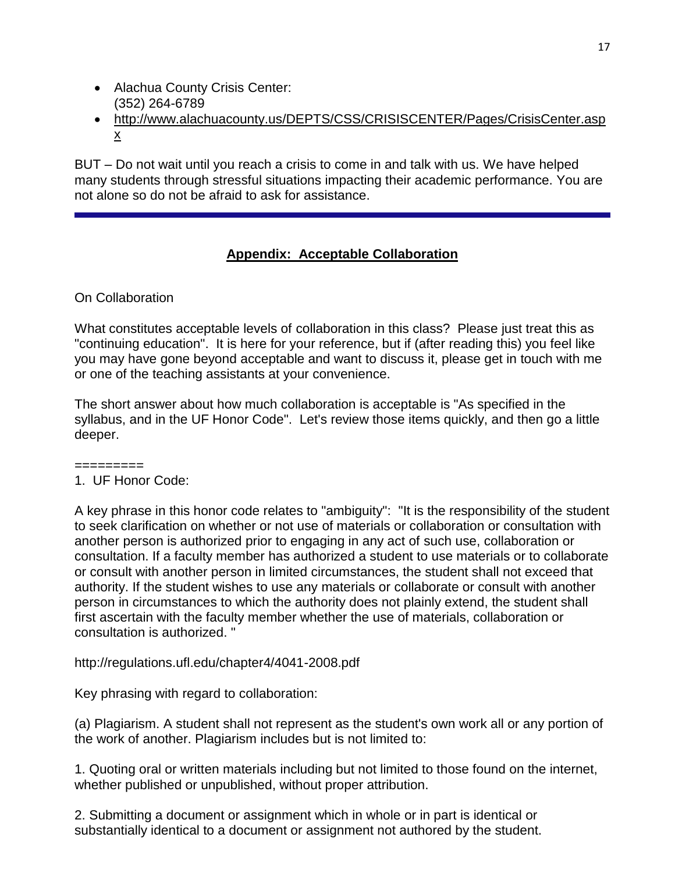- Alachua County Crisis Center: (352) 264-6789
- [http://www.alachuacounty.us/DEPTS/CSS/CRISISCENTER/Pages/CrisisCenter.asp](http://www.alachuacounty.us/DEPTS/CSS/CRISISCENTER/Pages/CrisisCenter.aspx) [x](http://www.alachuacounty.us/DEPTS/CSS/CRISISCENTER/Pages/CrisisCenter.aspx)

BUT – Do not wait until you reach a crisis to come in and talk with us. We have helped many students through stressful situations impacting their academic performance. You are not alone so do not be afraid to ask for assistance.

# **Appendix: Acceptable Collaboration**

## On Collaboration

What constitutes acceptable levels of collaboration in this class? Please just treat this as "continuing education". It is here for your reference, but if (after reading this) you feel like you may have gone beyond acceptable and want to discuss it, please get in touch with me or one of the teaching assistants at your convenience.

The short answer about how much collaboration is acceptable is "As specified in the syllabus, and in the UF Honor Code". Let's review those items quickly, and then go a little deeper.

=========

### 1. UF Honor Code:

A key phrase in this honor code relates to "ambiguity": "It is the responsibility of the student to seek clarification on whether or not use of materials or collaboration or consultation with another person is authorized prior to engaging in any act of such use, collaboration or consultation. If a faculty member has authorized a student to use materials or to collaborate or consult with another person in limited circumstances, the student shall not exceed that authority. If the student wishes to use any materials or collaborate or consult with another person in circumstances to which the authority does not plainly extend, the student shall first ascertain with the faculty member whether the use of materials, collaboration or consultation is authorized. "

http://regulations.ufl.edu/chapter4/4041-2008.pdf

Key phrasing with regard to collaboration:

(a) Plagiarism. A student shall not represent as the student's own work all or any portion of the work of another. Plagiarism includes but is not limited to:

1. Quoting oral or written materials including but not limited to those found on the internet, whether published or unpublished, without proper attribution.

2. Submitting a document or assignment which in whole or in part is identical or substantially identical to a document or assignment not authored by the student.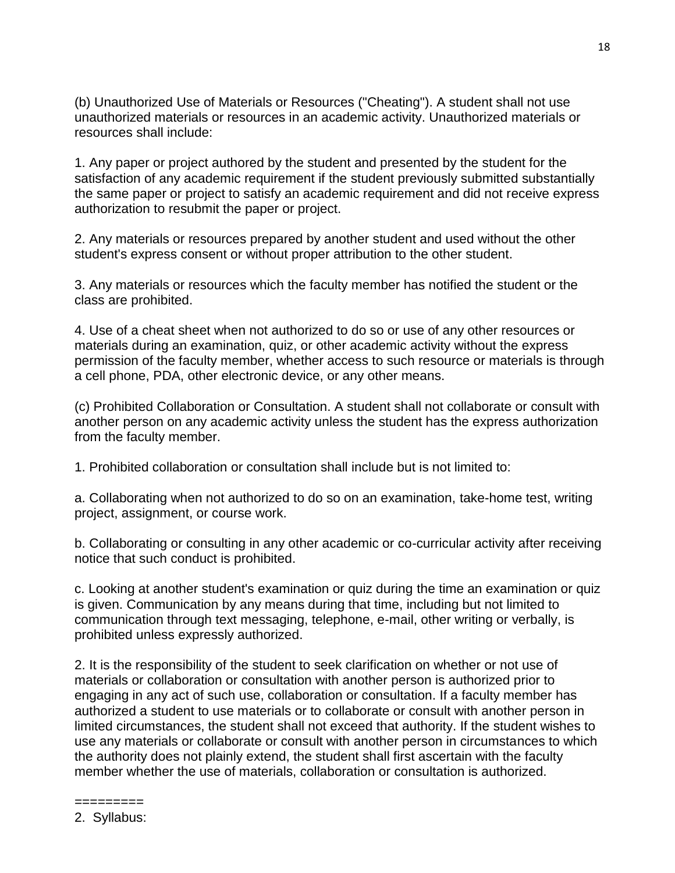(b) Unauthorized Use of Materials or Resources ("Cheating"). A student shall not use unauthorized materials or resources in an academic activity. Unauthorized materials or resources shall include:

1. Any paper or project authored by the student and presented by the student for the satisfaction of any academic requirement if the student previously submitted substantially the same paper or project to satisfy an academic requirement and did not receive express authorization to resubmit the paper or project.

2. Any materials or resources prepared by another student and used without the other student's express consent or without proper attribution to the other student.

3. Any materials or resources which the faculty member has notified the student or the class are prohibited.

4. Use of a cheat sheet when not authorized to do so or use of any other resources or materials during an examination, quiz, or other academic activity without the express permission of the faculty member, whether access to such resource or materials is through a cell phone, PDA, other electronic device, or any other means.

(c) Prohibited Collaboration or Consultation. A student shall not collaborate or consult with another person on any academic activity unless the student has the express authorization from the faculty member.

1. Prohibited collaboration or consultation shall include but is not limited to:

a. Collaborating when not authorized to do so on an examination, take-home test, writing project, assignment, or course work.

b. Collaborating or consulting in any other academic or co-curricular activity after receiving notice that such conduct is prohibited.

c. Looking at another student's examination or quiz during the time an examination or quiz is given. Communication by any means during that time, including but not limited to communication through text messaging, telephone, e-mail, other writing or verbally, is prohibited unless expressly authorized.

2. It is the responsibility of the student to seek clarification on whether or not use of materials or collaboration or consultation with another person is authorized prior to engaging in any act of such use, collaboration or consultation. If a faculty member has authorized a student to use materials or to collaborate or consult with another person in limited circumstances, the student shall not exceed that authority. If the student wishes to use any materials or collaborate or consult with another person in circumstances to which the authority does not plainly extend, the student shall first ascertain with the faculty member whether the use of materials, collaboration or consultation is authorized.

- =========
- 2. Syllabus: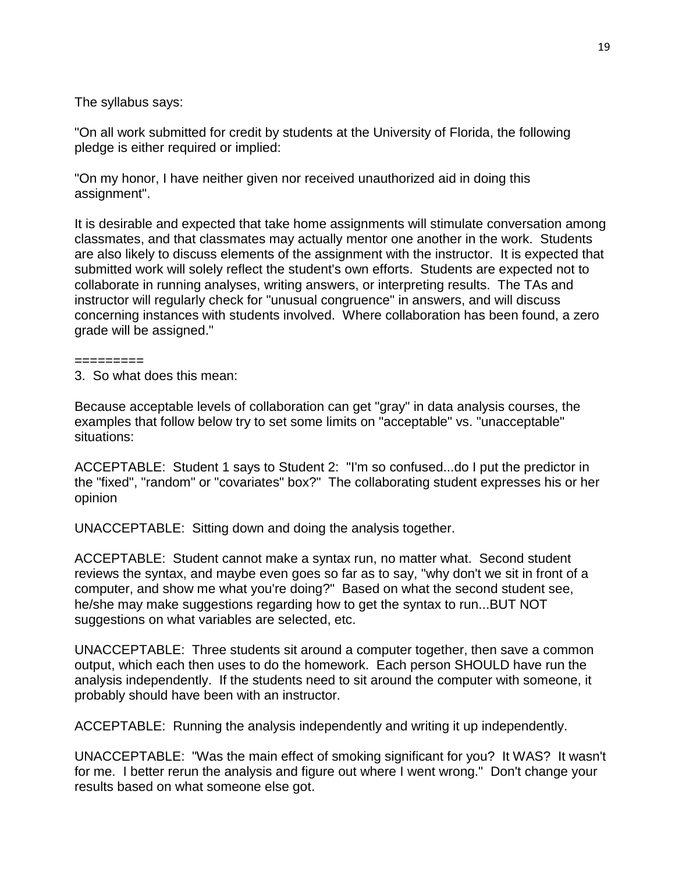The syllabus says:

"On all work submitted for credit by students at the University of Florida, the following pledge is either required or implied:

"On my honor, I have neither given nor received unauthorized aid in doing this assignment".

It is desirable and expected that take home assignments will stimulate conversation among classmates, and that classmates may actually mentor one another in the work. Students are also likely to discuss elements of the assignment with the instructor. It is expected that submitted work will solely reflect the student's own efforts. Students are expected not to collaborate in running analyses, writing answers, or interpreting results. The TAs and instructor will regularly check for "unusual congruence" in answers, and will discuss concerning instances with students involved. Where collaboration has been found, a zero grade will be assigned."

========= 3. So what does this mean:

Because acceptable levels of collaboration can get "gray" in data analysis courses, the examples that follow below try to set some limits on "acceptable" vs. "unacceptable" situations:

ACCEPTABLE: Student 1 says to Student 2: "I'm so confused...do I put the predictor in the "fixed", "random" or "covariates" box?" The collaborating student expresses his or her opinion

UNACCEPTABLE: Sitting down and doing the analysis together.

ACCEPTABLE: Student cannot make a syntax run, no matter what. Second student reviews the syntax, and maybe even goes so far as to say, "why don't we sit in front of a computer, and show me what you're doing?" Based on what the second student see, he/she may make suggestions regarding how to get the syntax to run...BUT NOT suggestions on what variables are selected, etc.

UNACCEPTABLE: Three students sit around a computer together, then save a common output, which each then uses to do the homework. Each person SHOULD have run the analysis independently. If the students need to sit around the computer with someone, it probably should have been with an instructor.

ACCEPTABLE: Running the analysis independently and writing it up independently.

UNACCEPTABLE: "Was the main effect of smoking significant for you? It WAS? It wasn't for me. I better rerun the analysis and figure out where I went wrong." Don't change your results based on what someone else got.